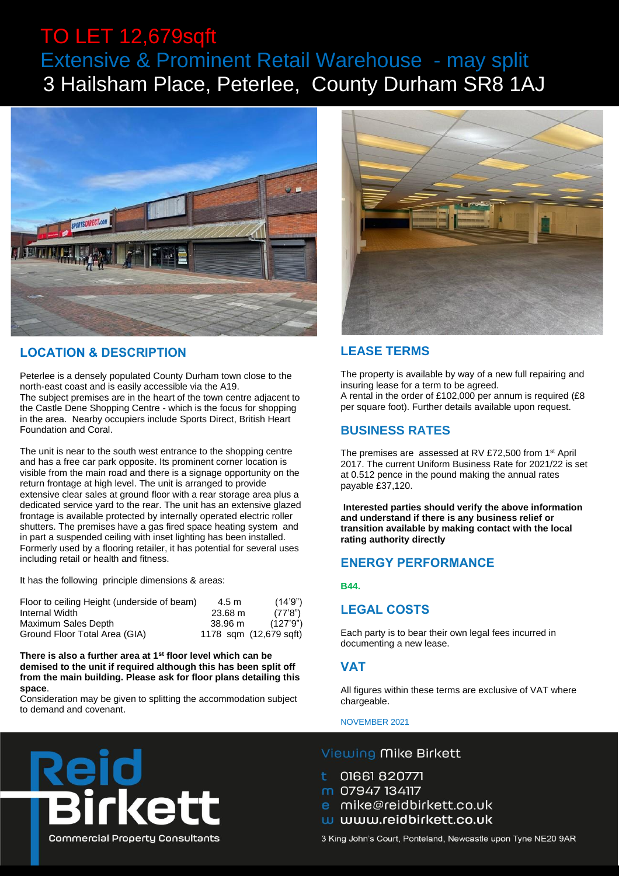## TO LET 12,679sqft Extensive & Prominent Retail Warehouse - may split 3 Hailsham Place, Peterlee, County Durham SR8 1AJ



## **LOCATION & DESCRIPTION**

Peterlee is a densely populated County Durham town close to the north-east coast and is easily accessible via the A19. The subject premises are in the heart of the town centre adjacent to the Castle Dene Shopping Centre - which is the focus for shopping in the area. Nearby occupiers include Sports Direct, British Heart Foundation and Coral.

The unit is near to the south west entrance to the shopping centre and has a free car park opposite. Its prominent corner location is visible from the main road and there is a signage opportunity on the return frontage at high level. The unit is arranged to provide extensive clear sales at ground floor with a rear storage area plus a dedicated service yard to the rear. The unit has an extensive glazed frontage is available protected by internally operated electric roller shutters. The premises have a gas fired space heating system and in part a suspended ceiling with inset lighting has been installed. Formerly used by a flooring retailer, it has potential for several uses including retail or health and fitness.

It has the following principle dimensions & areas:

| Floor to ceiling Height (underside of beam) | $4.5 \text{ m}$ | (14.9")                |
|---------------------------------------------|-----------------|------------------------|
| Internal Width                              | 23.68 m         | (77'8")                |
| Maximum Sales Depth                         | 38.96 m         | (127'9'')              |
| Ground Floor Total Area (GIA)               |                 | 1178 sqm (12,679 sqft) |

**There is also a further area at 1st floor level which can be demised to the unit if required although this has been split off from the main building. Please ask for floor plans detailing this space**.

Consideration may be given to splitting the accommodation subject to demand and covenant.

irkett



## **LEASE TERMS**

The property is available by way of a new full repairing and insuring lease for a term to be agreed. A rental in the order of £102,000 per annum is required (£8 per square foot). Further details available upon request.

### **BUSINESS RATES**

The premises are assessed at RV £72,500 from 1<sup>st</sup> April 2017. The current Uniform Business Rate for 2021/22 is set at 0.512 pence in the pound making the annual rates payable £37,120.

**Interested parties should verify the above information and understand if there is any business relief or transition available by making contact with the local rating authority directly**

## **ENERGY PERFORMANCE**

#### **B44.**

#### **LEGAL COSTS**

Each party is to bear their own legal fees incurred in documenting a new lease.

#### **VAT**

All figures within these terms are exclusive of VAT where chargeable.

NOVEMBER 2021

#### Viewing Mike Birkett

- 01661 820771
- m 07947 134117
- e mike@reidbirkett.co.uk
- w www.reidbirkett.co.uk
- 

**Commercial Property Consultants** 

3 King John's Court, Ponteland, Newcastle upon Tyne NE20 9AR